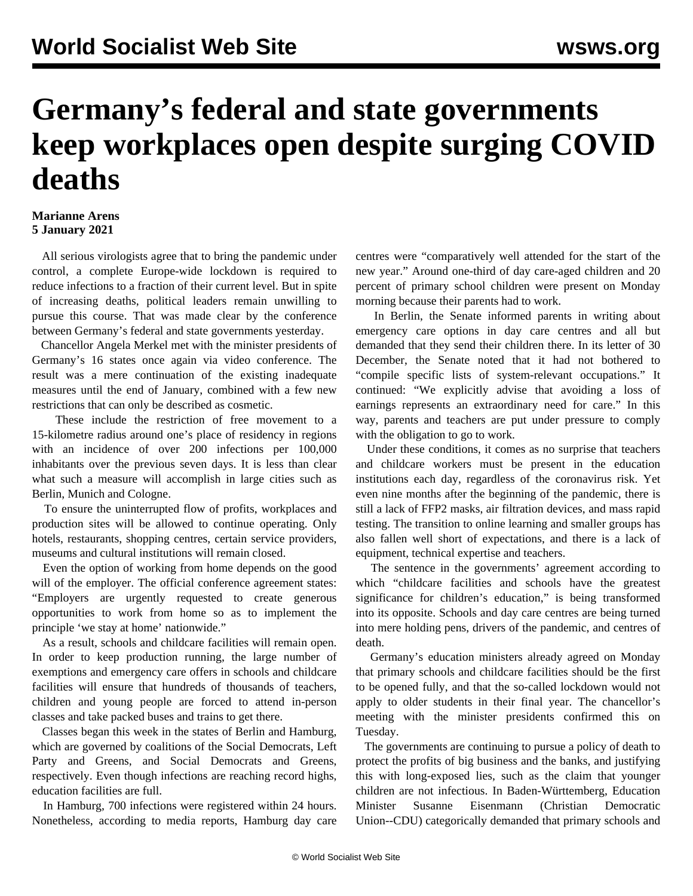## **Germany's federal and state governments keep workplaces open despite surging COVID deaths**

## **Marianne Arens 5 January 2021**

 All serious virologists agree that to bring the pandemic under control, a complete Europe-wide lockdown is required to reduce infections to a fraction of their current level. But in spite of increasing deaths, political leaders remain unwilling to pursue this course. That was made clear by the conference between Germany's federal and state governments yesterday.

 Chancellor Angela Merkel met with the minister presidents of Germany's 16 states once again via video conference. The result was a mere continuation of the existing inadequate measures until the end of January, combined with a few new restrictions that can only be described as cosmetic.

 These include the restriction of free movement to a 15-kilometre radius around one's place of residency in regions with an incidence of over 200 infections per 100,000 inhabitants over the previous seven days. It is less than clear what such a measure will accomplish in large cities such as Berlin, Munich and Cologne.

 To ensure the uninterrupted flow of profits, workplaces and production sites will be allowed to continue operating. Only hotels, restaurants, shopping centres, certain service providers, museums and cultural institutions will remain closed.

 Even the option of working from home depends on the good will of the employer. The official conference agreement states: "Employers are urgently requested to create generous opportunities to work from home so as to implement the principle 'we stay at home' nationwide."

 As a result, schools and childcare facilities will remain open. In order to keep production running, the large number of exemptions and emergency care offers in schools and childcare facilities will ensure that hundreds of thousands of teachers, children and young people are forced to attend in-person classes and take packed buses and trains to get there.

 Classes began this week in the states of Berlin and Hamburg, which are governed by coalitions of the Social Democrats, Left Party and Greens, and Social Democrats and Greens, respectively. Even though infections are reaching record highs, education facilities are full.

 In Hamburg, 700 infections were registered within 24 hours. Nonetheless, according to media reports, Hamburg day care

centres were "comparatively well attended for the start of the new year." Around one-third of day care-aged children and 20 percent of primary school children were present on Monday morning because their parents had to work.

 In Berlin, the Senate informed parents in writing about emergency care options in day care centres and all but demanded that they send their children there. In its letter of 30 December, the Senate noted that it had not bothered to "compile specific lists of system-relevant occupations." It continued: "We explicitly advise that avoiding a loss of earnings represents an extraordinary need for care." In this way, parents and teachers are put under pressure to comply with the obligation to go to work.

 Under these conditions, it comes as no surprise that teachers and childcare workers must be present in the education institutions each day, regardless of the coronavirus risk. Yet even nine months after the beginning of the pandemic, there is still a lack of FFP2 masks, air filtration devices, and mass rapid testing. The transition to online learning and smaller groups has also fallen well short of expectations, and there is a lack of equipment, technical expertise and teachers.

 The sentence in the governments' agreement according to which "childcare facilities and schools have the greatest significance for children's education," is being transformed into its opposite. Schools and day care centres are being turned into mere holding pens, drivers of the pandemic, and centres of death.

 Germany's education ministers already agreed on Monday that primary schools and childcare facilities should be the first to be opened fully, and that the so-called lockdown would not apply to older students in their final year. The chancellor's meeting with the minister presidents confirmed this on Tuesday.

 The governments are continuing to pursue a policy of death to protect the profits of big business and the banks, and justifying this with long-exposed lies, such as the claim that younger children are not infectious. In Baden-Württemberg, Education Minister Susanne Eisenmann (Christian Democratic Union--CDU) categorically demanded that primary schools and